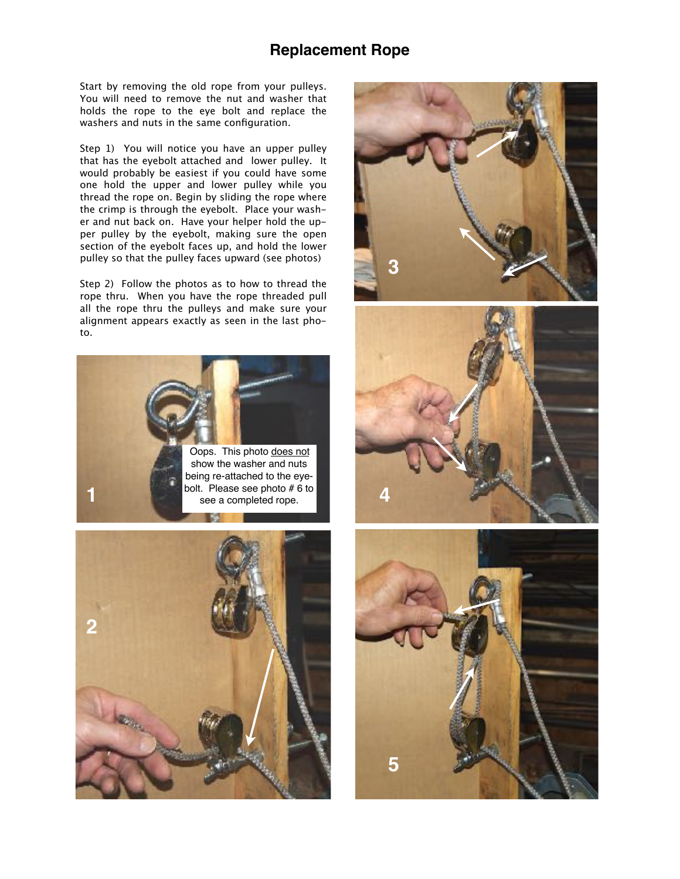## **Replacement Rope**

Start by removing the old rope from your pulleys. You will need to remove the nut and washer that holds the rope to the eye bolt and replace the washers and nuts in the same configuration.

Step 1) You will notice you have an upper pulley that has the eyebolt attached and lower pulley. It would probably be easiest if you could have some one hold the upper and lower pulley while you thread the rope on. Begin by sliding the rope where the crimp is through the eyebolt. Place your washer and nut back on. Have your helper hold the upper pulley by the eyebolt, making sure the open section of the eyebolt faces up, and hold the lower pulley so that the pulley faces upward (see photos)

Step 2) Follow the photos as to how to thread the rope thru. When you have the rope threaded pull all the rope thru the pulleys and make sure your alignment appears exactly as seen in the last photo.